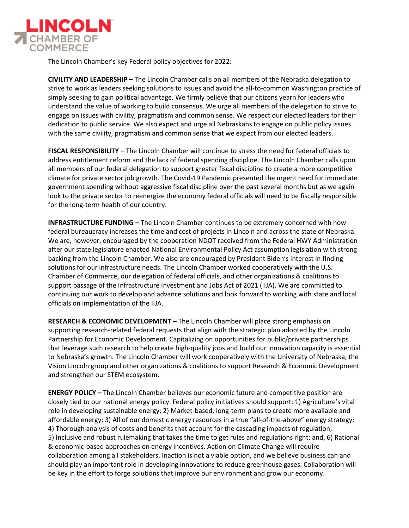

The Lincoln Chamber's key Federal policy objectives for 2022:

**CIVILITY AND LEADERSHIP –** The Lincoln Chamber calls on all members of the Nebraska delegation to strive to work as leaders seeking solutions to issues and avoid the all-to-common Washington practice of simply seeking to gain political advantage. We firmly believe that our citizens yearn for leaders who understand the value of working to build consensus. We urge all members of the delegation to strive to engage on issues with civility, pragmatism and common sense. We respect our elected leaders for their dedication to public service. We also expect and urge all Nebraskans to engage on public policy issues with the same civility, pragmatism and common sense that we expect from our elected leaders.

**FISCAL RESPONSIBILITY –** The Lincoln Chamber will continue to stress the need for federal officials to address entitlement reform and the lack of federal spending discipline. The Lincoln Chamber calls upon all members of our federal delegation to support greater fiscal discipline to create a more competitive climate for private sector job growth. The Covid-19 Pandemic presented the urgent need for immediate government spending without aggressive fiscal discipline over the past several months but as we again look to the private sector to reenergize the economy federal officials will need to be fiscally responsible for the long-term health of our country.

**INFRASTRUCTURE FUNDING** – The Lincoln Chamber continues to be extremely concerned with how federal bureaucracy increases the time and cost of projects in Lincoln and across the state of Nebraska. We are, however, encouraged by the cooperation NDOT received from the Federal HWY Administration after our state legislature enacted National Environmental Policy Act assumption legislation with strong backing from the Lincoln Chamber. We also are encouraged by President Biden's interest in finding solutions for our infrastructure needs. The Lincoln Chamber worked cooperatively with the U.S. Chamber of Commerce, our delegation of federal officials, and other organizations & coalitions to support passage of the Infrastructure Investment and Jobs Act of 2021 (IIJA). We are committed to continuing our work to develop and advance solutions and look forward to working with state and local officials on implementation of the IIJA.

**RESEARCH & ECONOMIC DEVELOPMENT –** The Lincoln Chamber will place strong emphasis on supporting research-related federal requests that align with the strategic plan adopted by the Lincoln Partnership for Economic Development. Capitalizing on opportunities for public/private partnerships that leverage such research to help create high-quality jobs and build our innovation capacity is essential to Nebraska's growth. The Lincoln Chamber will work cooperatively with the University of Nebraska, the Vision Lincoln group and other organizations & coalitions to support Research & Economic Development and strengthen our STEM ecosystem.

**ENERGY POLICY –** The Lincoln Chamber believes our economic future and competitive position are closely tied to our national energy policy. Federal policy initiatives should support: 1) Agriculture's vital role in developing sustainable energy; 2) Market-based, long-term plans to create more available and affordable energy; 3) All of our domestic energy resources in a true "all-of-the-above" energy strategy; 4) Thorough analysis of costs and benefits that account for the cascading impacts of regulation; 5) Inclusive and robust rulemaking that takes the time to get rules and regulations right; and, 6) Rational & economic-based approaches on energy incentives. Action on Climate Change will require collaboration among all stakeholders. Inaction is not a viable option, and we believe business can and should play an important role in developing innovations to reduce greenhouse gases. Collaboration will be key in the effort to forge solutions that improve our environment and grow our economy.